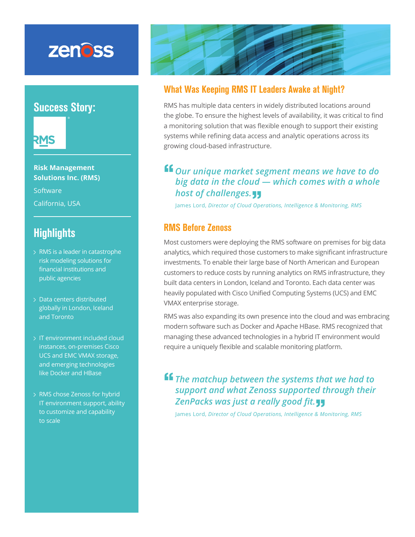# zenoss

### Success Story:



**Risk Management Solutions Inc. (RMS)**

**Software** California, USA

### **Highlights**

- RMS is a leader in catastrophe risk modeling solutions for financial institutions and public agencies
- Data centers distributed globally in London, Iceland and Toronto
- > IT environment included cloud instances, on-premises Cisco UCS and EMC VMAX storage, and emerging technologies like Docker and HBase
- RMS chose Zenoss for hybrid IT environment support, ability to customize and capability to scale



#### What Was Keeping RMS IT Leaders Awake at Night?

RMS has multiple data centers in widely distributed locations around the globe. To ensure the highest levels of availability, it was critical to find a monitoring solution that was flexible enough to support their existing systems while refining data access and analytic operations across its growing cloud-based infrastructure.

## **"***Our unique market segment means we have to do big data in the cloud — which comes with a whole host of challenges.* **"**

James Lord, *Director of Cloud Operations, Intelligence & Monitoring, RMS*

#### RMS Before Zenoss

Most customers were deploying the RMS software on premises for big data analytics, which required those customers to make significant infrastructure investments. To enable their large base of North American and European customers to reduce costs by running analytics on RMS infrastructure, they built data centers in London, Iceland and Toronto. Each data center was heavily populated with Cisco Unified Computing Systems (UCS) and EMC VMAX enterprise storage.

RMS was also expanding its own presence into the cloud and was embracing modern software such as Docker and Apache HBase. RMS recognized that managing these advanced technologies in a hybrid IT environment would require a uniquely flexible and scalable monitoring platform.

**"** The matchup between the systems that we had to *support and what Zenoss supported through their ZenPacks was just a really good fit.*<br>James Lord, *Director of Cloud Operations, Intelligence & Me* 

James Lord, *Director of Cloud Operations, Intelligence & Monitoring, RMS*